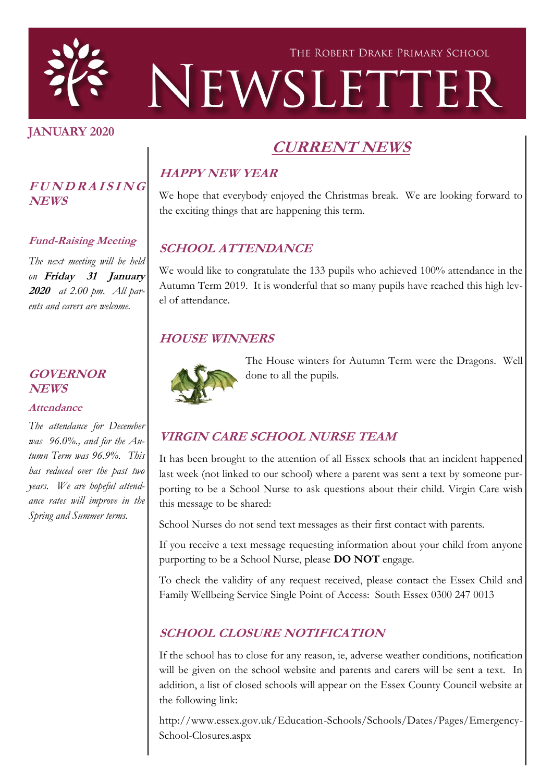

#### **JANUARY 2020**

**NEWS**

**<sup>F</sup> <sup>U</sup> <sup>N</sup> <sup>D</sup> <sup>R</sup> <sup>A</sup> <sup>I</sup> <sup>S</sup> <sup>I</sup> <sup>N</sup> <sup>G</sup>**

**Fund-Raising Meeting**

*The next meeting will be held on* **Friday 31 January 2020** *at 2.00 pm. All parents and carers are welcome.*

# **CURRENT NEWS**

# **HAPPY NEW YEAR**

We hope that everybody enjoyed the Christmas break. We are looking forward to the exciting things that are happening this term.

# **SCHOOL ATTENDANCE**

We would like to congratulate the 133 pupils who achieved 100% attendance in the Autumn Term 2019. It is wonderful that so many pupils have reached this high level of attendance.

#### **HOUSE WINNERS**



The House winters for Autumn Term were the Dragons. Well done to all the pupils.

# **VIRGIN CARE SCHOOL NURSE TEAM**

It has been brought to the attention of all Essex schools that an incident happened last week (not linked to our school) where a parent was sent a text by someone purporting to be a School Nurse to ask questions about their child. Virgin Care wish this message to be shared:

School Nurses do not send text messages as their first contact with parents.

If you receive a text message requesting information about your child from anyone purporting to be a School Nurse, please **DO NOT** engage.

To check the validity of any request received, please contact the Essex Child and Family Wellbeing Service Single Point of Access: South Essex 0300 247 0013

# **SCHOOL CLOSURE NOTIFICATION**

If the school has to close for any reason, ie, adverse weather conditions, notification will be given on the school website and parents and carers will be sent a text. In addition, a list of closed schools will appear on the Essex County Council website at the following link:

http://www.essex.gov.uk/Education-Schools/Schools/Dates/Pages/Emergency-School-Closures.aspx

#### **GOVERNOR NEWS**

#### **Attendance**

*The attendance for December was 96.0%., and for the Autumn Term was 96.9%. This has reduced over the past two years. We are hopeful attendance rates will improve in the Spring and Summer terms.*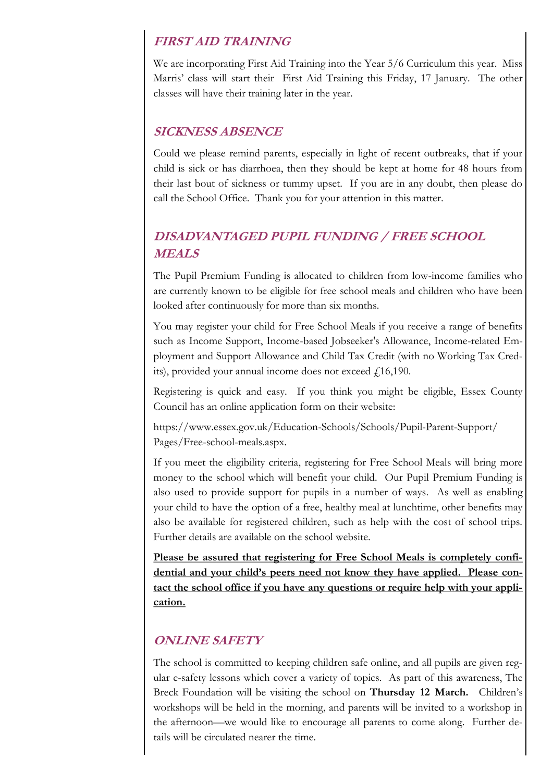#### **FIRST AID TRAINING**

We are incorporating First Aid Training into the Year 5/6 Curriculum this year. Miss Marris' class will start their First Aid Training this Friday, 17 January. The other classes will have their training later in the year.

#### **SICKNESS ABSENCE**

Could we please remind parents, especially in light of recent outbreaks, that if your child is sick or has diarrhoea, then they should be kept at home for 48 hours from their last bout of sickness or tummy upset. If you are in any doubt, then please do call the School Office. Thank you for your attention in this matter.

# **DISADVANTAGED PUPIL FUNDING / FREE SCHOOL MEALS**

The Pupil Premium Funding is allocated to children from low-income families who are currently known to be eligible for free school meals and children who have been looked after continuously for more than six months.

You may register your child for Free School Meals if you receive a range of benefits such as Income Support, Income-based Jobseeker's Allowance, Income-related Employment and Support Allowance and Child Tax Credit (with no Working Tax Credits), provided your annual income does not exceed  $f(16,190)$ .

Registering is quick and easy. If you think you might be eligible, Essex County Council has an online application form on their website:

https://www.essex.gov.uk/Education-Schools/Schools/Pupil-Parent-Support/ Pages/Free-school-meals.aspx.

If you meet the eligibility criteria, registering for Free School Meals will bring more money to the school which will benefit your child. Our Pupil Premium Funding is also used to provide support for pupils in a number of ways. As well as enabling your child to have the option of a free, healthy meal at lunchtime, other benefits may also be available for registered children, such as help with the cost of school trips. Further details are available on the school website.

**Please be assured that registering for Free School Meals is completely confidential and your child's peers need not know they have applied. Please contact the school office if you have any questions or require help with your application.**

#### **ONLINE SAFETY**

The school is committed to keeping children safe online, and all pupils are given regular e-safety lessons which cover a variety of topics. As part of this awareness, The Breck Foundation will be visiting the school on **Thursday 12 March.** Children's workshops will be held in the morning, and parents will be invited to a workshop in the afternoon—we would like to encourage all parents to come along. Further details will be circulated nearer the time.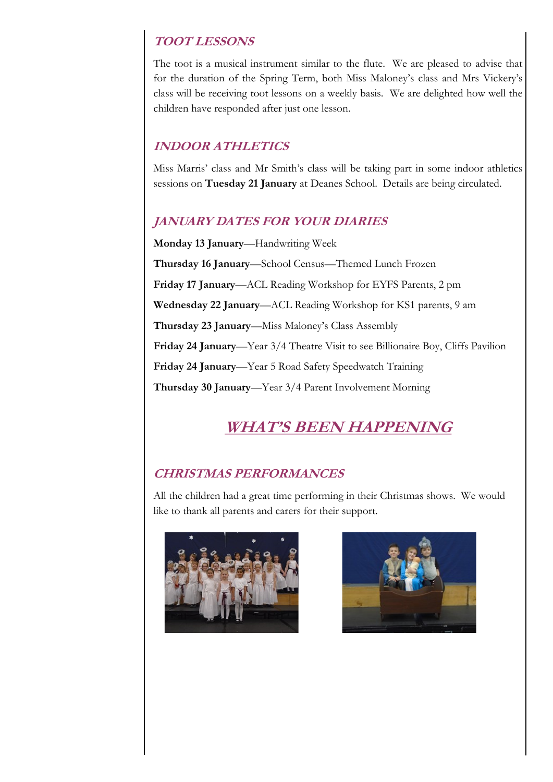### **TOOT LESSONS**

The toot is a musical instrument similar to the flute. We are pleased to advise that for the duration of the Spring Term, both Miss Maloney's class and Mrs Vickery's class will be receiving toot lessons on a weekly basis. We are delighted how well the children have responded after just one lesson.

# **INDOOR ATHLETICS**

Miss Marris' class and Mr Smith's class will be taking part in some indoor athletics sessions on **Tuesday 21 January** at Deanes School. Details are being circulated.

# **JANUARY DATES FOR YOUR DIARIES**

**Monday 13 January**—Handwriting Week **Thursday 16 January**—School Census—Themed Lunch Frozen **Friday 17 January**—ACL Reading Workshop for EYFS Parents, 2 pm **Wednesday 22 January**—ACL Reading Workshop for KS1 parents, 9 am **Thursday 23 January**—Miss Maloney's Class Assembly **Friday 24 January**—Year 3/4 Theatre Visit to see Billionaire Boy, Cliffs Pavilion **Friday 24 January**—Year 5 Road Safety Speedwatch Training **Thursday 30 January**—Year 3/4 Parent Involvement Morning

# **WHAT'S BEEN HAPPENING**

### **CHRISTMAS PERFORMANCES**

All the children had a great time performing in their Christmas shows. We would like to thank all parents and carers for their support.



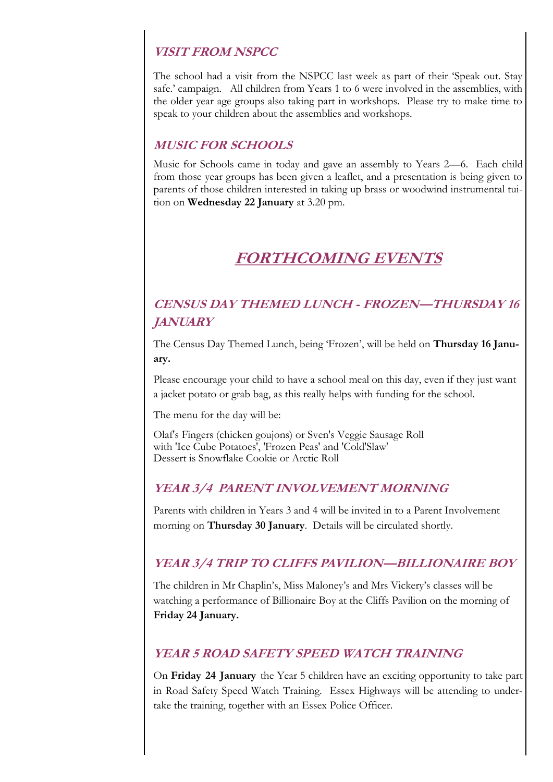### **VISIT FROM NSPCC**

The school had a visit from the NSPCC last week as part of their 'Speak out. Stay safe.' campaign. All children from Years 1 to 6 were involved in the assemblies, with the older year age groups also taking part in workshops. Please try to make time to speak to your children about the assemblies and workshops.

### **MUSIC FOR SCHOOLS**

Music for Schools came in today and gave an assembly to Years 2—6. Each child from those year groups has been given a leaflet, and a presentation is being given to parents of those children interested in taking up brass or woodwind instrumental tuition on **Wednesday 22 January** at 3.20 pm.

# **FORTHCOMING EVENTS**

# **CENSUS DAY THEMED LUNCH - FROZEN—THURSDAY 16 JANUARY**

The Census Day Themed Lunch, being 'Frozen', will be held on **Thursday 16 January.** 

Please encourage your child to have a school meal on this day, even if they just want a jacket potato or grab bag, as this really helps with funding for the school.

The menu for the day will be:

Olaf's Fingers (chicken goujons) or Sven's Veggie Sausage Roll with 'Ice Cube Potatoes', 'Frozen Peas' and 'Cold'Slaw' Dessert is Snowflake Cookie or Arctic Roll

### **YEAR 3/4 PARENT INVOLVEMENT MORNING**

Parents with children in Years 3 and 4 will be invited in to a Parent Involvement morning on **Thursday 30 January**. Details will be circulated shortly.

### **YEAR 3/4 TRIP TO CLIFFS PAVILION—BILLIONAIRE BOY**

The children in Mr Chaplin's, Miss Maloney's and Mrs Vickery's classes will be watching a performance of Billionaire Boy at the Cliffs Pavilion on the morning of **Friday 24 January.**

#### **YEAR 5 ROAD SAFETY SPEED WATCH TRAINING**

On **Friday 24 January** the Year 5 children have an exciting opportunity to take part in Road Safety Speed Watch Training. Essex Highways will be attending to undertake the training, together with an Essex Police Officer.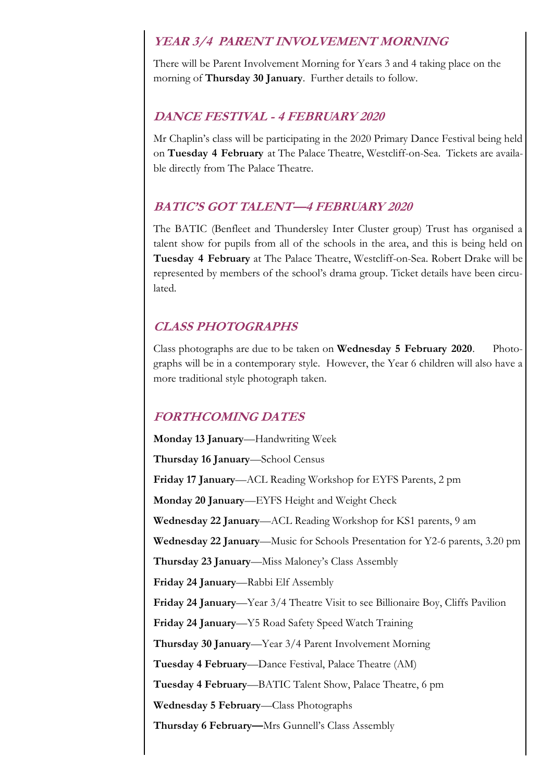#### **YEAR 3/4 PARENT INVOLVEMENT MORNING**

There will be Parent Involvement Morning for Years 3 and 4 taking place on the morning of **Thursday 30 January**. Further details to follow.

#### **DANCE FESTIVAL - 4 FEBRUARY 2020**

Mr Chaplin's class will be participating in the 2020 Primary Dance Festival being held on **Tuesday 4 February** at The Palace Theatre, Westcliff-on-Sea. Tickets are available directly from The Palace Theatre.

#### **BATIC'S GOT TALENT—4 FEBRUARY 2020**

The BATIC (Benfleet and Thundersley Inter Cluster group) Trust has organised a talent show for pupils from all of the schools in the area, and this is being held on **Tuesday 4 February** at The Palace Theatre, Westcliff-on-Sea. Robert Drake will be represented by members of the school's drama group. Ticket details have been circulated.

#### **CLASS PHOTOGRAPHS**

Class photographs are due to be taken on **Wednesday 5 February 2020**. Photographs will be in a contemporary style. However, the Year 6 children will also have a more traditional style photograph taken.

#### **FORTHCOMING DATES**

**Monday 13 January**—Handwriting Week **Thursday 16 January**—School Census **Friday 17 January**—ACL Reading Workshop for EYFS Parents, 2 pm **Monday 20 January**—EYFS Height and Weight Check **Wednesday 22 January**—ACL Reading Workshop for KS1 parents, 9 am **Wednesday 22 January**—Music for Schools Presentation for Y2-6 parents, 3.20 pm **Thursday 23 January**—Miss Maloney's Class Assembly **Friday 24 January**—Rabbi Elf Assembly **Friday 24 January**—Year 3/4 Theatre Visit to see Billionaire Boy, Cliffs Pavilion **Friday 24 January**—Y5 Road Safety Speed Watch Training **Thursday 30 January**—Year 3/4 Parent Involvement Morning **Tuesday 4 February**—Dance Festival, Palace Theatre (AM) **Tuesday 4 February**—BATIC Talent Show, Palace Theatre, 6 pm **Wednesday 5 February**—Class Photographs **Thursday 6 February—**Mrs Gunnell's Class Assembly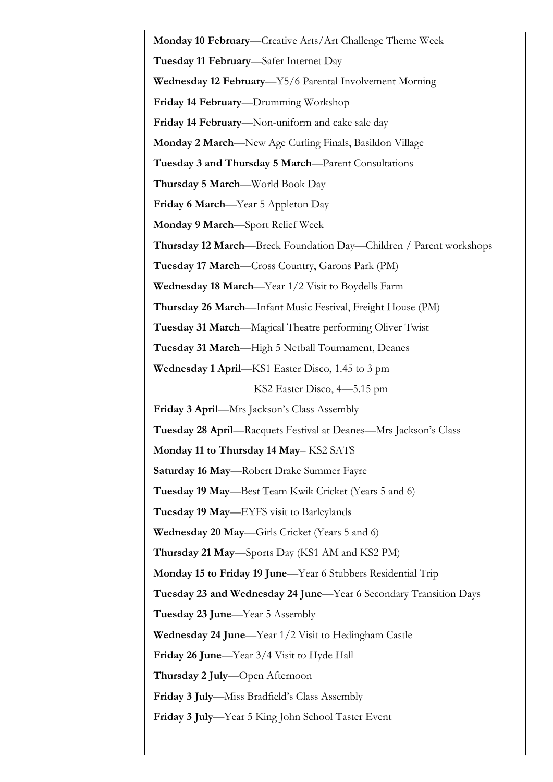**Monday 10 February**—Creative Arts/Art Challenge Theme Week **Tuesday 11 February**—Safer Internet Day **Wednesday 12 February**—Y5/6 Parental Involvement Morning **Friday 14 February**—Drumming Workshop **Friday 14 February**—Non-uniform and cake sale day **Monday 2 March**—New Age Curling Finals, Basildon Village **Tuesday 3 and Thursday 5 March**—Parent Consultations **Thursday 5 March**—World Book Day **Friday 6 March**—Year 5 Appleton Day **Monday 9 March**—Sport Relief Week **Thursday 12 March**—Breck Foundation Day—Children / Parent workshops **Tuesday 17 March**—Cross Country, Garons Park (PM) **Wednesday 18 March**—Year 1/2 Visit to Boydells Farm **Thursday 26 March**—Infant Music Festival, Freight House (PM) **Tuesday 31 March**—Magical Theatre performing Oliver Twist **Tuesday 31 March**—High 5 Netball Tournament, Deanes **Wednesday 1 April**—KS1 Easter Disco, 1.45 to 3 pm KS2 Easter Disco, 4—5.15 pm **Friday 3 April**—Mrs Jackson's Class Assembly **Tuesday 28 April**—Racquets Festival at Deanes—Mrs Jackson's Class **Monday 11 to Thursday 14 May**– KS2 SATS **Saturday 16 May**—Robert Drake Summer Fayre **Tuesday 19 May**—Best Team Kwik Cricket (Years 5 and 6) **Tuesday 19 May**—EYFS visit to Barleylands **Wednesday 20 May**—Girls Cricket (Years 5 and 6) **Thursday 21 May**—Sports Day (KS1 AM and KS2 PM) **Monday 15 to Friday 19 June**—Year 6 Stubbers Residential Trip **Tuesday 23 and Wednesday 24 June**—Year 6 Secondary Transition Days **Tuesday 23 June**—Year 5 Assembly **Wednesday 24 June**—Year 1/2 Visit to Hedingham Castle **Friday 26 June**—Year 3/4 Visit to Hyde Hall **Thursday 2 July**—Open Afternoon **Friday 3 July**—Miss Bradfield's Class Assembly **Friday 3 July**—Year 5 King John School Taster Event